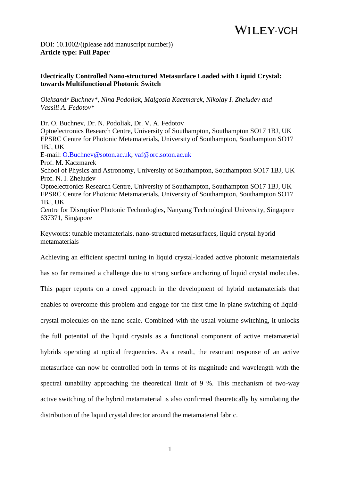DOI: 10.1002/((please add manuscript number)) **Article type: Full Paper**

#### **Electrically Controlled Nano-structured Metasurface Loaded with Liquid Crystal: towards Multifunctional Photonic Switch**

*Oleksandr Buchnev\*, Nina Podoliak, Malgosia Kaczmarek, Nikolay I. Zheludev and Vassili A. Fedotov\**

Dr. O. Buchnev, Dr. N. Podoliak, Dr. V. A. Fedotov Optoelectronics Research Centre, University of Southampton, Southampton SO17 1BJ, UK EPSRC Centre for Photonic Metamaterials, University of Southampton, Southampton SO17 1BJ, UK E-mail: [O.Buchnev@soton.ac.uk,](mailto:O.Buchnev@soton.ac.uk) [vaf@orc.soton.ac.uk](mailto:vaf@orc.soton.ac.uk) Prof. M. Kaczmarek School of Physics and Astronomy, University of Southampton, Southampton SO17 1BJ, UK Prof. N. I. Zheludev Optoelectronics Research Centre, University of Southampton, Southampton SO17 1BJ, UK EPSRC Centre for Photonic Metamaterials, University of Southampton, Southampton SO17 1BJ, UK Centre for Disruptive Photonic Technologies, Nanyang Technological University, Singapore 637371, Singapore

Keywords: tunable metamaterials, nano-structured metasurfaces, liquid crystal hybrid metamaterials

Achieving an efficient spectral tuning in liquid crystal-loaded active photonic metamaterials has so far remained a challenge due to strong surface anchoring of liquid crystal molecules.

This paper reports on a novel approach in the development of hybrid metamaterials that enables to overcome this problem and engage for the first time in-plane switching of liquidcrystal molecules on the nano-scale. Combined with the usual volume switching, it unlocks the full potential of the liquid crystals as a functional component of active metamaterial hybrids operating at optical frequencies. As a result, the resonant response of an active metasurface can now be controlled both in terms of its magnitude and wavelength with the spectral tunability approaching the theoretical limit of 9 %. This mechanism of two-way active switching of the hybrid metamaterial is also confirmed theoretically by simulating the distribution of the liquid crystal director around the metamaterial fabric.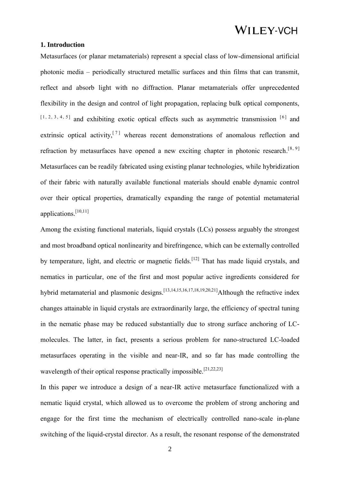#### **1. Introduction**

Metasurfaces (or planar metamaterials) represent a special class of low-dimensional artificial photonic media – periodically structured metallic surfaces and thin films that can transmit, reflect and absorb light with no diffraction. Planar metamaterials offer unprecedented flexibility in the design and control of light propagation, replacing bulk optical components,  $[1, 2, 3, 4, 5]$  and exhibiting exotic optical effects such as asymmetric transmission  $[6]$  and extrinsic optical activity.<sup>[7]</sup> whereas recent demonstrations of anomalous reflection and refraction by metasurfaces have opened a new exciting chapter in photonic research.<sup>[8, 9]</sup> Metasurfaces can be readily fabricated using existing planar technologies, while hybridization of their fabric with naturally available functional materials should enable dynamic control over their optical properties, dramatically expanding the range of potential metamaterial applications.[10,11]

Among the existing functional materials, liquid crystals (LCs) possess arguably the strongest and most broadband optical nonlinearity and birefringence, which can be externally controlled by temperature, light, and electric or magnetic fields.<sup>[12]</sup> That has made liquid crystals, and nematics in particular, one of the first and most popular active ingredients considered for hybrid metamaterial and plasmonic designs.<sup>[13,14,15,16,17,18,19,20,21]</sup>Although the refractive index changes attainable in liquid crystals are extraordinarily large, the efficiency of spectral tuning in the nematic phase may be reduced substantially due to strong surface anchoring of LCmolecules. The latter, in fact, presents a serious problem for nano-structured LC-loaded metasurfaces operating in the visible and near-IR, and so far has made controlling the wavelength of their optical response practically impossible.<sup>[21,22,23]</sup>

In this paper we introduce a design of a near-IR active metasurface functionalized with a nematic liquid crystal, which allowed us to overcome the problem of strong anchoring and engage for the first time the mechanism of electrically controlled nano-scale in-plane switching of the liquid-crystal director. As a result, the resonant response of the demonstrated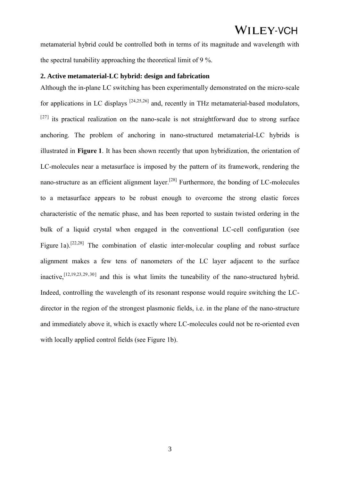metamaterial hybrid could be controlled both in terms of its magnitude and wavelength with the spectral tunability approaching the theoretical limit of 9 %.

#### **2. Active metamaterial-LC hybrid: design and fabrication**

Although the in-plane LC switching has been experimentally demonstrated on the micro-scale for applications in LC displays  $[24,25,26]$  and, recently in THz metamaterial-based modulators,  $[27]$  its practical realization on the nano-scale is not straightforward due to strong surface anchoring. The problem of anchoring in nano-structured metamaterial-LC hybrids is illustrated in **Figure 1**. It has been shown recently that upon hybridization, the orientation of LC-molecules near a metasurface is imposed by the pattern of its framework, rendering the nano-structure as an efficient alignment layer.<sup>[28]</sup> Furthermore, the bonding of LC-molecules to a metasurface appears to be robust enough to overcome the strong elastic forces characteristic of the nematic phase, and has been reported to sustain twisted ordering in the bulk of a liquid crystal when engaged in the conventional LC-cell configuration (see Figure 1a).<sup>[22,28]</sup> The combination of elastic inter-molecular coupling and robust surface alignment makes a few tens of nanometers of the LC layer adjacent to the surface inactive,  $[12, 19, 23, 29, 30]$  and this is what limits the tuneability of the nano-structured hybrid. Indeed, controlling the wavelength of its resonant response would require switching the LCdirector in the region of the strongest plasmonic fields, i.e. in the plane of the nano-structure and immediately above it, which is exactly where LC-molecules could not be re-oriented even with locally applied control fields (see Figure 1b).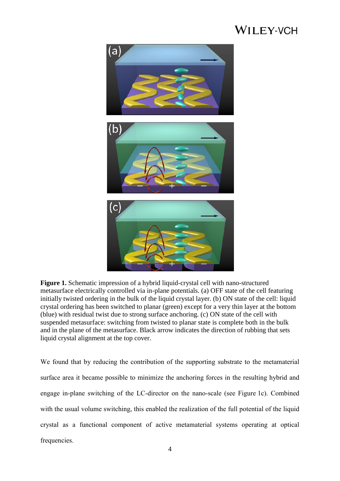

**Figure 1.** Schematic impression of a hybrid liquid-crystal cell with nano-structured metasurface electrically controlled via in-plane potentials. (a) OFF state of the cell featuring initially twisted ordering in the bulk of the liquid crystal layer. (b) ON state of the cell: liquid crystal ordering has been switched to planar (green) except for a very thin layer at the bottom (blue) with residual twist due to strong surface anchoring. (c) ON state of the cell with suspended metasurface: switching from twisted to planar state is complete both in the bulk and in the plane of the metasurface. Black arrow indicates the direction of rubbing that sets liquid crystal alignment at the top cover.

We found that by reducing the contribution of the supporting substrate to the metamaterial surface area it became possible to minimize the anchoring forces in the resulting hybrid and engage in-plane switching of the LC-director on the nano-scale (see Figure 1c). Combined with the usual volume switching, this enabled the realization of the full potential of the liquid crystal as a functional component of active metamaterial systems operating at optical frequencies.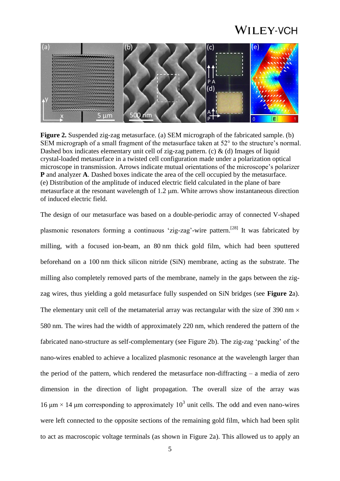

**Figure 2.** Suspended zig-zag metasurface. (a) SEM micrograph of the fabricated sample. (b) SEM micrograph of a small fragment of the metasurface taken at 52° to the structure's normal. Dashed box indicates elementary unit cell of zig-zag pattern. (c)  $\&$  (d) Images of liquid crystal-loaded metasurface in a twisted cell configuration made under a polarization optical microscope in transmission. Arrows indicate mutual orientations of the microscope's polarizer **P** and analyzer **A**. Dashed boxes indicate the area of the cell occupied by the metasurface. (e) Distribution of the amplitude of induced electric field calculated in the plane of bare metasurface at the resonant wavelength of 1.2 um. White arrows show instantaneous direction of induced electric field.

The design of our metasurface was based on a double-periodic array of connected V-shaped plasmonic resonators forming a continuous 'zig-zag'-wire pattern.<sup>[28]</sup> It was fabricated by milling, with a focused ion-beam, an 80 nm thick gold film, which had been sputtered beforehand on a 100 nm thick silicon nitride (SiN) membrane, acting as the substrate. The milling also completely removed parts of the membrane, namely in the gaps between the zigzag wires, thus yielding a gold metasurface fully suspended on SiN bridges (see **Figure 2**a). The elementary unit cell of the metamaterial array was rectangular with the size of 390 nm  $\times$ 580 nm. The wires had the width of approximately 220 nm, which rendered the pattern of the fabricated nano-structure as self-complementary (see Figure 2b). The zig-zag 'packing' of the nano-wires enabled to achieve a localized plasmonic resonance at the wavelength larger than the period of the pattern, which rendered the metasurface non-diffracting – a media of zero dimension in the direction of light propagation. The overall size of the array was 16 μm  $\times$  14 μm corresponding to approximately 10<sup>3</sup> unit cells. The odd and even nano-wires were left connected to the opposite sections of the remaining gold film, which had been split to act as macroscopic voltage terminals (as shown in Figure 2a). This allowed us to apply an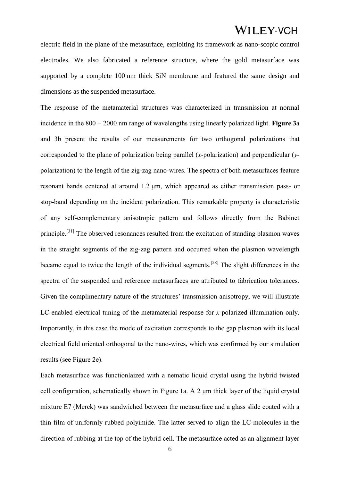electric field in the plane of the metasurface, exploiting its framework as nano-scopic control electrodes. We also fabricated a reference structure, where the gold metasurface was supported by a complete 100 nm thick SiN membrane and featured the same design and dimensions as the suspended metasurface.

The response of the metamaterial structures was characterized in transmission at normal incidence in the 800 − 2000 nm range of wavelengths using linearly polarized light. **Figure 3**a and 3b present the results of our measurements for two orthogonal polarizations that corresponded to the plane of polarization being parallel (*x*-polarization) and perpendicular (*y*polarization) to the length of the zig-zag nano-wires. The spectra of both metasurfaces feature resonant bands centered at around 1.2 μm, which appeared as either transmission pass- or stop-band depending on the incident polarization. This remarkable property is characteristic of any self-complementary anisotropic pattern and follows directly from the Babinet principle.<sup>[31]</sup> The observed resonances resulted from the excitation of standing plasmon waves in the straight segments of the zig-zag pattern and occurred when the plasmon wavelength became equal to twice the length of the individual segments.<sup>[28]</sup> The slight differences in the spectra of the suspended and reference metasurfaces are attributed to fabrication tolerances. Given the complimentary nature of the structures' transmission anisotropy, we will illustrate LC-enabled electrical tuning of the metamaterial response for *x*-polarized illumination only. Importantly, in this case the mode of excitation corresponds to the gap plasmon with its local electrical field oriented orthogonal to the nano-wires, which was confirmed by our simulation results (see Figure 2e).

Each metasurface was functionlaized with a nematic liquid crystal using the hybrid twisted cell configuration, schematically shown in Figure 1a. A 2 μm thick layer of the liquid crystal mixture E7 (Merck) was sandwiched between the metasurface and a glass slide coated with a thin film of uniformly rubbed polyimide. The latter served to align the LC-molecules in the direction of rubbing at the top of the hybrid cell. The metasurface acted as an alignment layer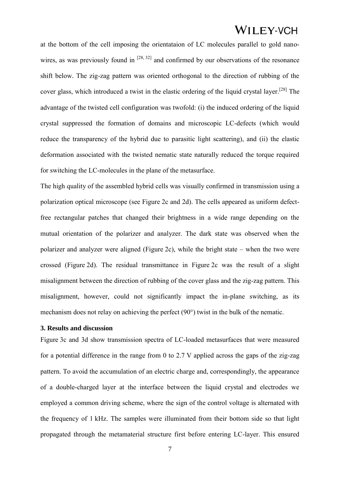at the bottom of the cell imposing the orientataion of LC molecules parallel to gold nanowires, as was previously found in  $[28, 32]$  and confirmed by our observations of the resonance shift below. The zig-zag pattern was oriented orthogonal to the direction of rubbing of the cover glass, which introduced a twist in the elastic ordering of the liquid crystal layer.<sup>[28]</sup> The advantage of the twisted cell configuration was twofold: (i) the induced ordering of the liquid crystal suppressed the formation of domains and microscopic LC-defects (which would reduce the transparency of the hybrid due to parasitic light scattering), and (ii) the elastic deformation associated with the twisted nematic state naturally reduced the torque required for switching the LC-molecules in the plane of the metasurface.

The high quality of the assembled hybrid cells was visually confirmed in transmission using a polarization optical microscope (see Figure 2c and 2d). The cells appeared as uniform defectfree rectangular patches that changed their brightness in a wide range depending on the mutual orientation of the polarizer and analyzer. The dark state was observed when the polarizer and analyzer were aligned (Figure 2c), while the bright state – when the two were crossed (Figure 2d). The residual transmittance in Figure 2c was the result of a slight misalignment between the direction of rubbing of the cover glass and the zig-zag pattern. This misalignment, however, could not significantly impact the in-plane switching, as its mechanism does not relay on achieving the perfect (90°) twist in the bulk of the nematic.

#### **3. Results and discussion**

Figure 3c and 3d show transmission spectra of LC-loaded metasurfaces that were measured for a potential difference in the range from 0 to 2.7 V applied across the gaps of the zig-zag pattern. To avoid the accumulation of an electric charge and, correspondingly, the appearance of a double-charged layer at the interface between the liquid crystal and electrodes we employed a common driving scheme, where the sign of the control voltage is alternated with the frequency of 1 kHz. The samples were illuminated from their bottom side so that light propagated through the metamaterial structure first before entering LC-layer. This ensured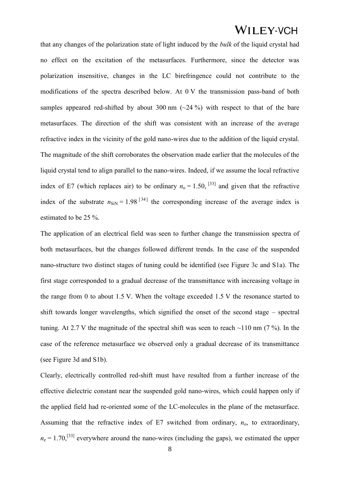that any changes of the polarization state of light induced by the *bulk* of the liquid crystal had no effect on the excitation of the metasurfaces. Furthermore, since the detector was polarization insensitive, changes in the LC birefringence could not contribute to the modifications of the spectra described below. At 0 V the transmission pass-band of both samples appeared red-shifted by about 300 nm  $(\sim 24\%)$  with respect to that of the bare metasurfaces. The direction of the shift was consistent with an increase of the average refractive index in the vicinity of the gold nano-wires due to the addition of the liquid crystal. The magnitude of the shift corroborates the observation made earlier that the molecules of the liquid crystal tend to align parallel to the nano-wires. Indeed, if we assume the local refractive index of E7 (which replaces air) to be ordinary  $n_0 = 1.50$ , <sup>[33]</sup> and given that the refractive index of the substrate  $n_{\text{SiN}} = 1.98^{34}$  the corresponding increase of the average index is estimated to be 25 %.

The application of an electrical field was seen to further change the transmission spectra of both metasurfaces, but the changes followed different trends. In the case of the suspended nano-structure two distinct stages of tuning could be identified (see Figure 3c and S1a). The first stage corresponded to a gradual decrease of the transmittance with increasing voltage in the range from 0 to about 1.5 V. When the voltage exceeded 1.5 V the resonance started to shift towards longer wavelengths, which signified the onset of the second stage – spectral tuning. At 2.7 V the magnitude of the spectral shift was seen to reach  $\sim$ 110 nm (7 %). In the case of the reference metasurface we observed only a gradual decrease of its transmittance (see Figure 3d and S1b).

Clearly, electrically controlled red-shift must have resulted from a further increase of the effective dielectric constant near the suspended gold nano-wires, which could happen only if the applied field had re-oriented some of the LC-molecules in the plane of the metasurface. Assuming that the refractive index of  $E7$  switched from ordinary,  $n_0$ , to extraordinary,  $n_e = 1.70$ , <sup>[33]</sup> everywhere around the nano-wires (including the gaps), we estimated the upper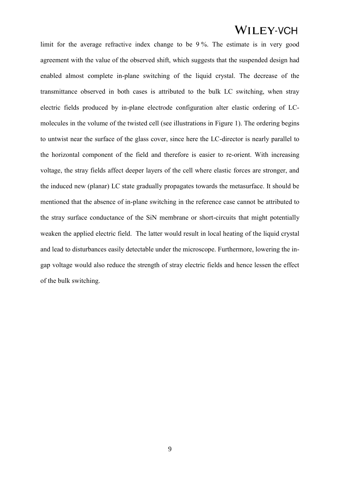limit for the average refractive index change to be 9 %. The estimate is in very good agreement with the value of the observed shift, which suggests that the suspended design had enabled almost complete in-plane switching of the liquid crystal. The decrease of the transmittance observed in both cases is attributed to the bulk LC switching, when stray electric fields produced by in-plane electrode configuration alter elastic ordering of LCmolecules in the volume of the twisted cell (see illustrations in Figure 1). The ordering begins to untwist near the surface of the glass cover, since here the LC-director is nearly parallel to the horizontal component of the field and therefore is easier to re-orient. With increasing voltage, the stray fields affect deeper layers of the cell where elastic forces are stronger, and the induced new (planar) LC state gradually propagates towards the metasurface. It should be mentioned that the absence of in-plane switching in the reference case cannot be attributed to the stray surface conductance of the SiN membrane or short-circuits that might potentially weaken the applied electric field. The latter would result in local heating of the liquid crystal and lead to disturbances easily detectable under the microscope. Furthermore, lowering the ingap voltage would also reduce the strength of stray electric fields and hence lessen the effect of the bulk switching.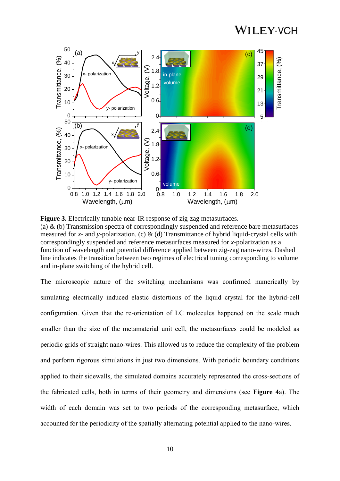

**Figure 3.** Electrically tunable near-IR response of zig-zag metasurfaces. (a)  $\&$  (b) Transmission spectra of correspondingly suspended and reference bare metasurfaces measured for *x*- and *y*-polarization. (c)  $\&$  (d) Transmittance of hybrid liquid-crystal cells with correspondingly suspended and reference metasurfaces measured for *x*-polarization as a function of wavelength and potential difference applied between zig-zag nano-wires. Dashed line indicates the transition between two regimes of electrical tuning corresponding to volume and in-plane switching of the hybrid cell.

The microscopic nature of the switching mechanisms was confirmed numerically by simulating electrically induced elastic distortions of the liquid crystal for the hybrid-cell configuration. Given that the re-orientation of LC molecules happened on the scale much smaller than the size of the metamaterial unit cell, the metasurfaces could be modeled as periodic grids of straight nano-wires. This allowed us to reduce the complexity of the problem and perform rigorous simulations in just two dimensions. With periodic boundary conditions applied to their sidewalls, the simulated domains accurately represented the cross-sections of the fabricated cells, both in terms of their geometry and dimensions (see **Figure 4**a). The width of each domain was set to two periods of the corresponding metasurface, which accounted for the periodicity of the spatially alternating potential applied to the nano-wires.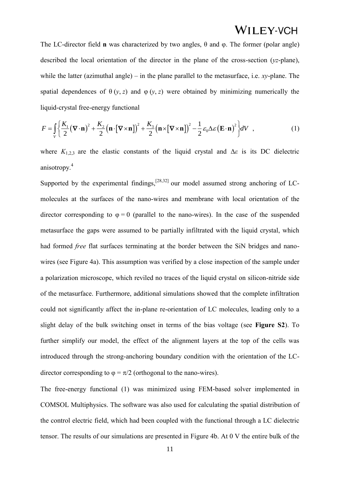The LC-director field **n** was characterized by two angles, θ and φ. The former (polar angle) described the local orientation of the director in the plane of the cross-section (*yz*-plane), while the latter (azimuthal angle) – in the plane parallel to the metasurface, i.e. *xy*-plane. The spatial dependences of  $\theta$  (*y*, *z*) and  $\phi$  (*y*, *z*) were obtained by minimizing numerically the liquid-crystal free-energy functional rystal free-energy functional<br>  $\frac{K_1}{2} (\nabla \cdot \mathbf{n})^2 + \frac{K_2}{2} (\mathbf{n} \cdot [\nabla \times \mathbf{n}])^2 + \frac{K_2}{2}$ 

liquid-crystal free-energy functional  
\n
$$
F = \int_{V} \left\{ \frac{K_1}{2} (\mathbf{\nabla} \cdot \mathbf{n})^2 + \frac{K_2}{2} (\mathbf{n} \cdot [\mathbf{\nabla} \times \mathbf{n}])^2 + \frac{K_3}{2} (\mathbf{n} \times [\mathbf{\nabla} \times \mathbf{n}])^2 - \frac{1}{2} \varepsilon_0 \Delta \varepsilon (\mathbf{E} \cdot \mathbf{n})^2 \right\} dV ,
$$
\n(1)

where  $K_{1,2,3}$  are the elastic constants of the liquid crystal and  $\Delta \varepsilon$  is its DC dielectric anisotropy.<sup>4</sup>

Supported by the experimental findings,  $[28,32]$  our model assumed strong anchoring of LCmolecules at the surfaces of the nano-wires and membrane with local orientation of the director corresponding to  $\varphi = 0$  (parallel to the nano-wires). In the case of the suspended metasurface the gaps were assumed to be partially infiltrated with the liquid crystal, which had formed *free* flat surfaces terminating at the border between the SiN bridges and nanowires (see Figure 4a). This assumption was verified by a close inspection of the sample under a polarization microscope, which reviled no traces of the liquid crystal on silicon-nitride side of the metasurface. Furthermore, additional simulations showed that the complete infiltration could not significantly affect the in-plane re-orientation of LC molecules, leading only to a slight delay of the bulk switching onset in terms of the bias voltage (see **Figure S2**). To further simplify our model, the effect of the alignment layers at the top of the cells was introduced through the strong-anchoring boundary condition with the orientation of the LCdirector corresponding to  $\varphi = \pi/2$  (orthogonal to the nano-wires).

The free-energy functional (1) was minimized using FEM-based solver implemented in COMSOL Multiphysics. The software was also used for calculating the spatial distribution of the control electric field, which had been coupled with the functional through a LC dielectric tensor. The results of our simulations are presented in Figure 4b. At 0 V the entire bulk of the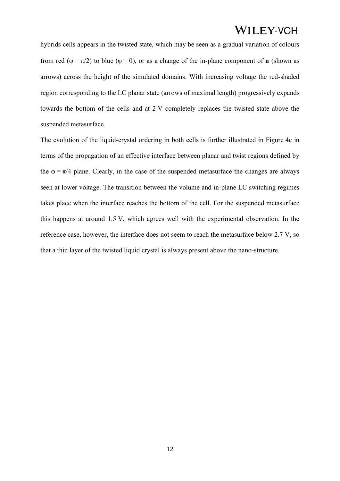hybrids cells appears in the twisted state, which may be seen as a gradual variation of colours from red ( $\varphi = \pi/2$ ) to blue ( $\varphi = 0$ ), or as a change of the in-plane component of **n** (shown as arrows) across the height of the simulated domains. With increasing voltage the red-shaded region corresponding to the LC planar state (arrows of maximal length) progressively expands towards the bottom of the cells and at 2 V completely replaces the twisted state above the suspended metasurface.

The evolution of the liquid-crystal ordering in both cells is further illustrated in Figure 4c in terms of the propagation of an effective interface between planar and twist regions defined by the  $\varphi = \pi/4$  plane. Clearly, in the case of the suspended metasurface the changes are always seen at lower voltage. The transition between the volume and in-plane LC switching regimes takes place when the interface reaches the bottom of the cell. For the suspended metasurface this happens at around 1.5 V, which agrees well with the experimental observation. In the reference case, however, the interface does not seem to reach the metasurface below 2.7 V, so that a thin layer of the twisted liquid crystal is always present above the nano-structure.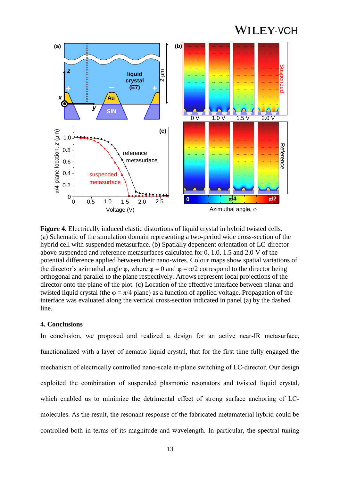

**Figure 4.** Electrically induced elastic distortions of liquid crystal in hybrid twisted cells. (a) Schematic of the simulation domain representing a two-period wide cross-section of the hybrid cell with suspended metasurface. (b) Spatially dependent orientation of LC-director above suspended and reference metasurfaces calculated for 0, 1.0, 1.5 and 2.0 V of the potential difference applied between their nano-wires. Colour maps show spatial variations of the director's azimuthal angle  $\varphi$ , where  $\varphi = 0$  and  $\varphi = \pi/2$  correspond to the director being orthogonal and parallel to the plane respectively. Arrows represent local projections of the director onto the plane of the plot. (c) Location of the effective interface between planar and twisted liquid crystal (the  $\varphi = \pi/4$  plane) as a function of applied voltage. Propagation of the interface was evaluated along the vertical cross-section indicated in panel (a) by the dashed line.

#### **4. Conclusions**

In conclusion, we proposed and realized a design for an active near-IR metasurface, functionalized with a layer of nematic liquid crystal, that for the first time fully engaged the mechanism of electrically controlled nano-scale in-plane switching of LC-director. Our design exploited the combination of suspended plasmonic resonators and twisted liquid crystal, which enabled us to minimize the detrimental effect of strong surface anchoring of LCmolecules. As the result, the resonant response of the fabricated metamaterial hybrid could be controlled both in terms of its magnitude and wavelength. In particular, the spectral tuning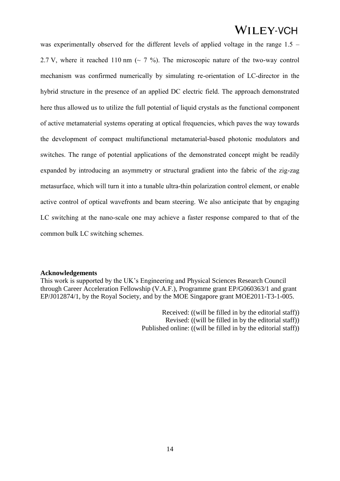was experimentally observed for the different levels of applied voltage in the range 1.5 – 2.7 V, where it reached 110 nm ( $\sim$  7 %). The microscopic nature of the two-way control mechanism was confirmed numerically by simulating re-orientation of LC-director in the hybrid structure in the presence of an applied DC electric field. The approach demonstrated here thus allowed us to utilize the full potential of liquid crystals as the functional component of active metamaterial systems operating at optical frequencies, which paves the way towards the development of compact multifunctional metamaterial-based photonic modulators and switches. The range of potential applications of the demonstrated concept might be readily expanded by introducing an asymmetry or structural gradient into the fabric of the zig-zag metasurface, which will turn it into a tunable ultra-thin polarization control element, or enable active control of optical wavefronts and beam steering. We also anticipate that by engaging LC switching at the nano-scale one may achieve a faster response compared to that of the common bulk LC switching schemes.

#### **Acknowledgements**

This work is supported by the UK's Engineering and Physical Sciences Research Council through Career Acceleration Fellowship (V.A.F.), Programme grant EP/G060363/1 and grant EP/J012874/1, by the Royal Society, and by the MOE Singapore grant MOE2011-T3-1-005.

> Received: ((will be filled in by the editorial staff)) Revised: ((will be filled in by the editorial staff)) Published online: ((will be filled in by the editorial staff))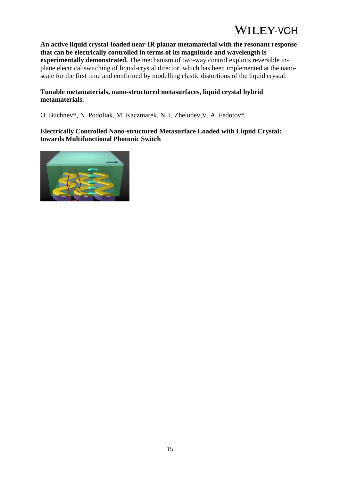**An active liquid crystal-loaded near-IR planar metamaterial with the resonant response that can be electrically controlled in terms of its magnitude and wavelength is experimentally demonstrated.** The mechanism of two-way control exploits reversible inplane electrical switching of liquid-crystal director, which has been implemented at the nanoscale for the first time and confirmed by modelling elastic distortions of the liquid crystal.

#### **Tunable metamaterials, nano-structured metasurfaces, liquid crystal hybrid metamaterials.**

O. Buchnev\*, N. Podoliak, M. Kaczmarek, N. I. Zheludev,V. A. Fedotov\*

### **Electrically Controlled Nano-structured Metasurface Loaded with Liquid Crystal: towards Multifunctional Photonic Switch**

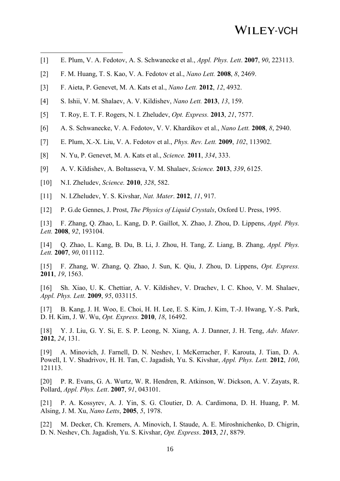- [1] E. Plum, V. A. Fedotov, A. S. Schwanecke et al., *Appl. Phys. Lett*. **2007**, *90*, 223113.
- [2] F. M. Huang, T. S. Kao, V. A. Fedotov et al., *Nano Lett.* **2008**, *8*, 2469.
- [3] F. Aieta, P. Genevet, M. A. Kats et al., *Nano Lett.* **2012**, *12*, 4932.
- [4] S. Ishii, V. M. Shalaev, A. V. Kildishev, *Nano Lett.* **2013**, *13*, 159.
- [5] T. Roy, E. T. F. Rogers, N. I. Zheludev, *Opt. Express.* **2013**, *21*, 7577.
- [6] A. S. Schwanecke, V. A. Fedotov, V. V. Khardikov et al., *Nano Lett.* **2008**, *8*, 2940.
- [7] E. Plum, X.-X. Liu, V. A. Fedotov et al., *Phys. Rev. Lett.* **2009**, *102*, 113902.
- [8] N. Yu, P. Genevet, M. A. Kats et al., *Science.* **2011**, *334*, 333.
- [9] A. V. Kildishev, A. Boltasseva, V. M. Shalaev, *Science.* **2013**, *339*, 6125.
- [10] N.I. Zheludev, *Science.* **2010**, *328*, 582.

1

- [11] N. I.Zheludev, Y. S. Kivshar, *Nat. Mater*. **2012**, *11*, 917.
- [12] P. G.de Gennes, J. Prost, *The Physics of Liquid Crystals*, Oxford U. Press, 1995.
- [13] F. Zhang, Q. Zhao, L. Kang, D. P. Gaillot, X. Zhao, J. Zhou, D. Lippens, *Appl. Phys. Lett.* **2008**, *92*, 193104.

[14] Q. Zhao, L. Kang, B. Du, B. Li, J. Zhou, H. Tang, Z. Liang, B. Zhang, *Appl. Phys. Lett.* **2007**, *90*, 011112.

[15] F. Zhang, W. Zhang, Q. Zhao, J. Sun, K. Qiu, J. Zhou, D. Lippens, *Opt. Express.* **2011**, *19*, 1563.

[16] Sh. Xiao, U. K. Chettiar, A. V. Kildishev, V. Drachev, I. C. Khoo, V. M. Shalaev, *Appl. Phys. Lett.* **2009**, *95*, 033115.

[17] B. Kang, J. H. Woo, E. Choi, H. H. Lee, E. S. Kim, J. Kim, T.-J. Hwang, Y.-S. Park, D. H. Kim, J. W. Wu, *Opt. Express.* **2010**, *18*, 16492.

[18] Y. J. Liu, G. Y. Si, E. S. P. Leong, N. Xiang, A. J. Danner, J. H. Teng, *Adv. Mater.* **2012**, *24*, 131.

[19] A. Minovich, J. Farnell, D. N. Neshev, I. McKerracher, F. Karouta, J. Tian, D. A. Powell, I. V. Shadrivov, H. H. Tan, C. Jagadish, Yu. S. Kivshar, *Appl. Phys. Lett.* **2012**, *100*, 121113.

[20] P. R. Evans, G. A. Wurtz, W. R. Hendren, R. Atkinson, W. Dickson, A. V. Zayats, R. Pollard, *Appl. Phys. Lett*. **2007**, *91*, 043101.

[21] P. A. Kossyrev, A. J. Yin, S. G. Cloutier, D. A. Cardimona, D. H. Huang, P. M. Alsing, J. M. Xu, *Nano Letts*, **2005**, *5*, 1978.

[22] M. Decker, Ch. Kremers, A. Minovich, I. Staude, A. E. Miroshnichenko, D. Chigrin, D. N. Neshev, Ch. Jagadish, Yu. S. Kivshar, *Opt. Express*. **2013**, *21*, 8879.